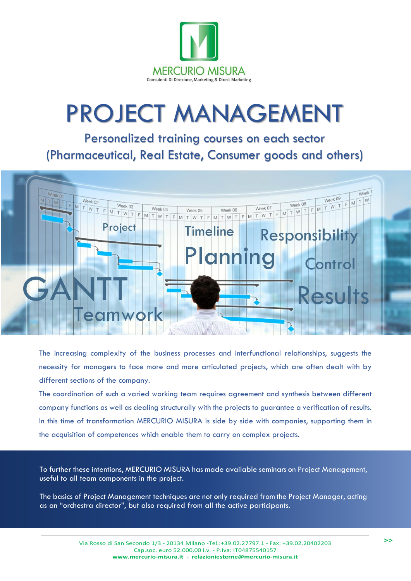

## PROJECT MANAGEMENT

Personalized training courses on each sector (Pharmaceutical, Real Estate, Consumer goods and others)



The increasing complexity of the business processes and interfunctional relationships, suggests the necessity for managers to face more and more articulated projects, which are often dealt with by different sections of the company.

The coordination of such a varied working team requires agreement and synthesis between different company functions as well as dealing structurally with the projects to guarantee a verification of results. In this time of transformation MERCURIO MISURA is side by side with companies, supporting them in the acquisition of competences which enable them to carry on complex projects.

To further these intentions, MERCURIO MISURA has made available seminars on Project Management, useful to all team components in the project.

The basics of Project Management techniques are not only required from the Project Manager, acting as an "orchestra director", but also required from all the active participants.